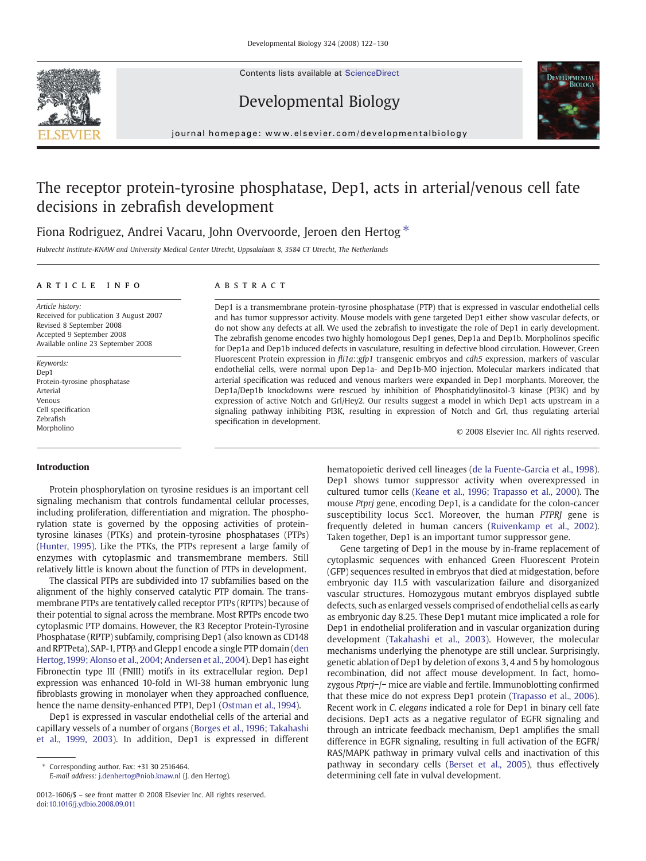Contents lists available at [ScienceDirect](http://www.sciencedirect.com/science/journal/00121606)







journal homepage: www.elsevier.com/developmentalbiology

# The receptor protein-tyrosine phosphatase, Dep1, acts in arterial/venous cell fate decisions in zebrafish development

## Fiona Rodriguez, Andrei Vacaru, John Overvoorde, Jeroen den Hertog  $*$

Hubrecht Institute-KNAW and University Medical Center Utrecht, Uppsalalaan 8, 3584 CT Utrecht, The Netherlands

## article info abstract

Revised 8 September 2008 Accepted 9 September 2008 Available online 23 September 2008

Protein-tyrosine phosphatase

Received for publication 3 August 2007

Article history:

Keywords: Dep1

Arterial Venous Cell specification Zebrafish Morpholino

Dep1 is a transmembrane protein-tyrosine phosphatase (PTP) that is expressed in vascular endothelial cells and has tumor suppressor activity. Mouse models with gene targeted Dep1 either show vascular defects, or do not show any defects at all. We used the zebrafish to investigate the role of Dep1 in early development. The zebrafish genome encodes two highly homologous Dep1 genes, Dep1a and Dep1b. Morpholinos specific for Dep1a and Dep1b induced defects in vasculature, resulting in defective blood circulation. However, Green Fluorescent Protein expression in fli1a::gfp1 transgenic embryos and cdh5 expression, markers of vascular endothelial cells, were normal upon Dep1a- and Dep1b-MO injection. Molecular markers indicated that arterial specification was reduced and venous markers were expanded in Dep1 morphants. Moreover, the Dep1a/Dep1b knockdowns were rescued by inhibition of Phosphatidylinositol-3 kinase (PI3K) and by expression of active Notch and Grl/Hey2. Our results suggest a model in which Dep1 acts upstream in a signaling pathway inhibiting PI3K, resulting in expression of Notch and Grl, thus regulating arterial specification in development.

© 2008 Elsevier Inc. All rights reserved.

#### Introduction

Protein phosphorylation on tyrosine residues is an important cell signaling mechanism that controls fundamental cellular processes, including proliferation, differentiation and migration. The phosphorylation state is governed by the opposing activities of proteintyrosine kinases (PTKs) and protein-tyrosine phosphatases (PTPs) ([Hunter, 1995](#page-7-0)). Like the PTKs, the PTPs represent a large family of enzymes with cytoplasmic and transmembrane members. Still relatively little is known about the function of PTPs in development.

The classical PTPs are subdivided into 17 subfamilies based on the alignment of the highly conserved catalytic PTP domain. The transmembrane PTPs are tentatively called receptor PTPs (RPTPs) because of their potential to signal across the membrane. Most RPTPs encode two cytoplasmic PTP domains. However, the R3 Receptor Protein-Tyrosine Phosphatase (RPTP) subfamily, comprising Dep1 (also known as CD148 and RPTPeta), SAP-1, PTPβ and Glepp1 encode a single PTP domain [\(den](#page-7-0) [Hertog,1999; Alonso et al., 2004; Andersen et al., 2004\)](#page-7-0). Dep1 has eight Fibronectin type III (FNIII) motifs in its extracellular region. Dep1 expression was enhanced 10-fold in WI-38 human embryonic lung fibroblasts growing in monolayer when they approached confluence, hence the name density-enhanced PTP1, Dep1 ([Ostman et al., 1994\)](#page-7-0).

Dep1 is expressed in vascular endothelial cells of the arterial and capillary vessels of a number of organs [\(Borges et al., 1996; Takahashi](#page-7-0) [et al., 1999, 2003](#page-7-0)). In addition, Dep1 is expressed in different

E-mail address: [j.denhertog@niob.knaw.nl](mailto:j.denhertog@niob.knaw.nl) (J. den Hertog).

hematopoietic derived cell lineages ([de la Fuente-Garcia et al., 1998](#page-7-0)). Dep1 shows tumor suppressor activity when overexpressed in cultured tumor cells ([Keane et al., 1996; Trapasso et al., 2000\)](#page-7-0). The mouse Ptprj gene, encoding Dep1, is a candidate for the colon-cancer susceptibility locus Scc1. Moreover, the human PTPRJ gene is frequently deleted in human cancers ([Ruivenkamp et al., 2002](#page-7-0)). Taken together, Dep1 is an important tumor suppressor gene.

Gene targeting of Dep1 in the mouse by in-frame replacement of cytoplasmic sequences with enhanced Green Fluorescent Protein (GFP) sequences resulted in embryos that died at midgestation, before embryonic day 11.5 with vascularization failure and disorganized vascular structures. Homozygous mutant embryos displayed subtle defects, such as enlarged vessels comprised of endothelial cells as early as embryonic day 8.25. These Dep1 mutant mice implicated a role for Dep1 in endothelial proliferation and in vascular organization during development ([Takahashi et al., 2003](#page-7-0)). However, the molecular mechanisms underlying the phenotype are still unclear. Surprisingly, genetic ablation of Dep1 by deletion of exons 3, 4 and 5 by homologous recombination, did not affect mouse development. In fact, homozygous Ptprj−/− mice are viable and fertile. Immunoblotting confirmed that these mice do not express Dep1 protein [\(Trapasso et al., 2006](#page-8-0)). Recent work in C. elegans indicated a role for Dep1 in binary cell fate decisions. Dep1 acts as a negative regulator of EGFR signaling and through an intricate feedback mechanism, Dep1 amplifies the small difference in EGFR signaling, resulting in full activation of the EGFR/ RAS/MAPK pathway in primary vulval cells and inactivation of this pathway in secondary cells [\(Berset et al., 2005\)](#page-7-0), thus effectively determining cell fate in vulval development.

<sup>⁎</sup> Corresponding author. Fax: +31 30 2516464.

<sup>0012-1606/\$</sup> – see front matter © 2008 Elsevier Inc. All rights reserved. doi[:10.1016/j.ydbio.2008.09.011](http://dx.doi.org/10.1016/j.ydbio.2008.09.011)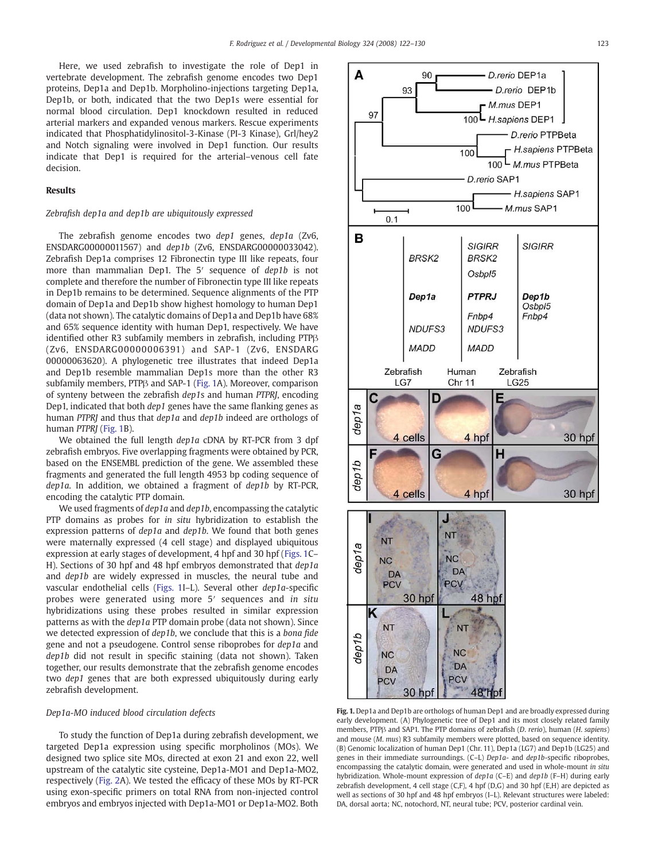Here, we used zebrafish to investigate the role of Dep1 in vertebrate development. The zebrafish genome encodes two Dep1 proteins, Dep1a and Dep1b. Morpholino-injections targeting Dep1a, Dep1b, or both, indicated that the two Dep1s were essential for normal blood circulation. Dep1 knockdown resulted in reduced arterial markers and expanded venous markers. Rescue experiments indicated that Phosphatidylinositol-3-Kinase (PI-3 Kinase), Grl/hey2 and Notch signaling were involved in Dep1 function. Our results indicate that Dep1 is required for the arterial–venous cell fate decision.

#### Results

## Zebrafish dep1a and dep1b are ubiquitously expressed

The zebrafish genome encodes two dep1 genes, dep1a (Zv6, ENSDARG00000011567) and dep1b (Zv6, ENSDARG00000033042). Zebrafish Dep1a comprises 12 Fibronectin type III like repeats, four more than mammalian Dep1. The 5' sequence of dep1b is not complete and therefore the number of Fibronectin type III like repeats in Dep1b remains to be determined. Sequence alignments of the PTP domain of Dep1a and Dep1b show highest homology to human Dep1 (data not shown). The catalytic domains of Dep1a and Dep1b have 68% and 65% sequence identity with human Dep1, respectively. We have identified other R3 subfamily members in zebrafish, including PTPβ (Zv6, ENSDARG00000006391) and SAP-1 (Zv6, ENSDARG 00000063620). A phylogenetic tree illustrates that indeed Dep1a and Dep1b resemble mammalian Dep1s more than the other R3 subfamily members, PTPβ and SAP-1 (Fig. 1A). Moreover, comparison of synteny between the zebrafish dep1s and human PTPRJ, encoding Dep1, indicated that both dep1 genes have the same flanking genes as human PTPRJ and thus that dep1a and dep1b indeed are orthologs of human PTPRJ (Fig. 1B).

We obtained the full length dep1a cDNA by RT-PCR from 3 dpf zebrafish embryos. Five overlapping fragments were obtained by PCR, based on the ENSEMBL prediction of the gene. We assembled these fragments and generated the full length 4953 bp coding sequence of dep1a. In addition, we obtained a fragment of dep1b by RT-PCR, encoding the catalytic PTP domain.

We used fragments of dep1a and dep1b, encompassing the catalytic PTP domains as probes for in situ hybridization to establish the expression patterns of *dep1a* and *dep1b*. We found that both genes were maternally expressed (4 cell stage) and displayed ubiquitous expression at early stages of development, 4 hpf and 30 hpf (Figs. 1C– H). Sections of 30 hpf and 48 hpf embryos demonstrated that dep1a and dep1b are widely expressed in muscles, the neural tube and vascular endothelial cells (Figs. 1I–L). Several other dep1a-specific probes were generated using more 5′ sequences and in situ hybridizations using these probes resulted in similar expression patterns as with the dep1a PTP domain probe (data not shown). Since we detected expression of dep1b, we conclude that this is a bona fide gene and not a pseudogene. Control sense riboprobes for dep1a and dep1b did not result in specific staining (data not shown). Taken together, our results demonstrate that the zebrafish genome encodes two dep1 genes that are both expressed ubiquitously during early zebrafish development.

#### Dep1a-MO induced blood circulation defects

To study the function of Dep1a during zebrafish development, we targeted Dep1a expression using specific morpholinos (MOs). We designed two splice site MOs, directed at exon 21 and exon 22, well upstream of the catalytic site cysteine, Dep1a-MO1 and Dep1a-MO2, respectively [\(Fig. 2A](#page-2-0)). We tested the efficacy of these MOs by RT-PCR using exon-specific primers on total RNA from non-injected control embryos and embryos injected with Dep1a-MO1 or Dep1a-MO2. Both



Fig. 1. Dep1a and Dep1b are orthologs of human Dep1 and are broadly expressed during early development. (A) Phylogenetic tree of Dep1 and its most closely related family members, PTPB and SAP1. The PTP domains of zebrafish (*D. rerio*), human (*H. sapiens*) and mouse (M. mus) R3 subfamily members were plotted, based on sequence identity. (B) Genomic localization of human Dep1 (Chr. 11), Dep1a (LG7) and Dep1b (LG25) and genes in their immediate surroundings. (C–L) Dep1a- and dep1b-specific riboprobes, encompassing the catalytic domain, were generated and used in whole-mount in situ hybridization. Whole-mount expression of dep1a (C–E) and dep1b (F–H) during early zebrafish development, 4 cell stage (C,F), 4 hpf (D,G) and 30 hpf (E,H) are depicted as well as sections of 30 hpf and 48 hpf embryos (I–L). Relevant structures were labeled: DA, dorsal aorta; NC, notochord, NT, neural tube; PCV, posterior cardinal vein.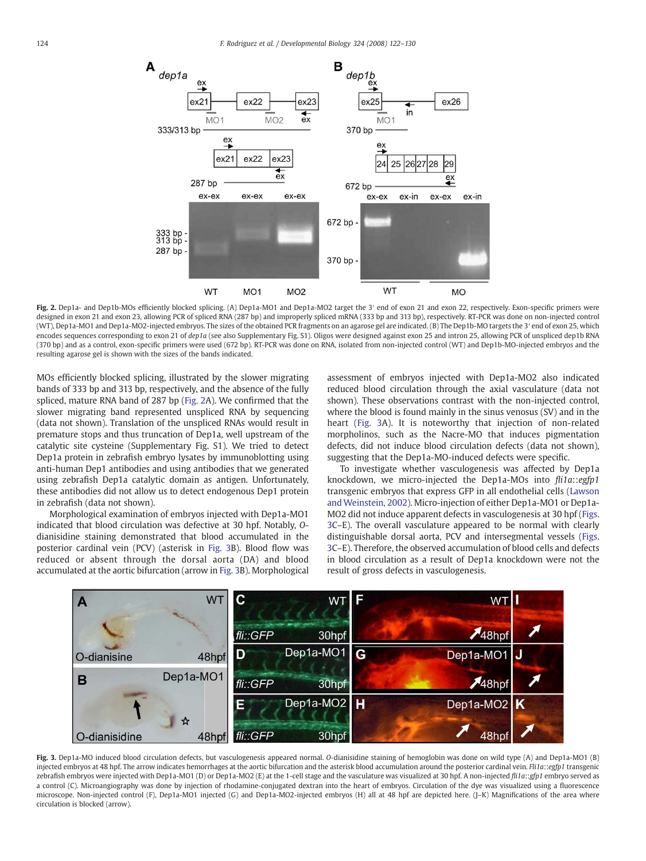<span id="page-2-0"></span>

Fig. 2. Dep1a- and Dep1b-MOs efficiently blocked splicing. (A) Dep1a-MO1 and Dep1a-MO2 target the 3' end of exon 21 and exon 22, respectively. Exon-specific primers were designed in exon 21 and exon 23, allowing PCR of spliced RNA (287 bp) and improperly spliced mRNA (333 bp and 313 bp), respectively. RT-PCR was done on non-injected control (WT), Dep1a-MO1 and Dep1a-MO2-injected embryos. The sizes of the obtained PCR fragments on an agarose gel are indicated. (B) The Dep1b-MO targets the 3′ end of exon 25, which encodes sequences corresponding to exon 21 of dep1a (see also Supplementary Fig. S1). Oligos were designed against exon 25 and intron 25, allowing PCR of unspliced dep1b RNA (370 bp) and as a control, exon-specific primers were used (672 bp). RT-PCR was done on RNA, isolated from non-injected control (WT) and Dep1b-MO-injected embryos and the resulting agarose gel is shown with the sizes of the bands indicated.

MOs efficiently blocked splicing, illustrated by the slower migrating bands of 333 bp and 313 bp, respectively, and the absence of the fully spliced, mature RNA band of 287 bp (Fig. 2A). We confirmed that the slower migrating band represented unspliced RNA by sequencing (data not shown). Translation of the unspliced RNAs would result in premature stops and thus truncation of Dep1a, well upstream of the catalytic site cysteine (Supplementary Fig. S1). We tried to detect Dep1a protein in zebrafish embryo lysates by immunoblotting using anti-human Dep1 antibodies and using antibodies that we generated using zebrafish Dep1a catalytic domain as antigen. Unfortunately, these antibodies did not allow us to detect endogenous Dep1 protein in zebrafish (data not shown).

Morphological examination of embryos injected with Dep1a-MO1 indicated that blood circulation was defective at 30 hpf. Notably, Odianisidine staining demonstrated that blood accumulated in the posterior cardinal vein (PCV) (asterisk in Fig. 3B). Blood flow was reduced or absent through the dorsal aorta (DA) and blood accumulated at the aortic bifurcation (arrow in Fig. 3B). Morphological assessment of embryos injected with Dep1a-MO2 also indicated reduced blood circulation through the axial vasculature (data not shown). These observations contrast with the non-injected control, where the blood is found mainly in the sinus venosus (SV) and in the heart (Fig. 3A). It is noteworthy that injection of non-related morpholinos, such as the Nacre-MO that induces pigmentation defects, did not induce blood circulation defects (data not shown), suggesting that the Dep1a-MO-induced defects were specific.

To investigate whether vasculogenesis was affected by Dep1a knockdown, we micro-injected the Dep1a-MOs into fli1a::egfp1 transgenic embryos that express GFP in all endothelial cells ([Lawson](#page-7-0) [and Weinstein, 2002\)](#page-7-0). Micro-injection of either Dep1a-MO1 or Dep1a-MO2 did not induce apparent defects in vasculogenesis at 30 hpf (Figs. 3C–E). The overall vasculature appeared to be normal with clearly distinguishable dorsal aorta, PCV and intersegmental vessels (Figs. 3C–E). Therefore, the observed accumulation of blood cells and defects in blood circulation as a result of Dep1a knockdown were not the result of gross defects in vasculogenesis.



Fig. 3. Dep1a-MO induced blood circulation defects, but vasculogenesis appeared normal. O-dianisidine staining of hemoglobin was done on wild type (A) and Dep1a-MO1 (B) injected embryos at 48 hpf. The arrow indicates hemorrhages at the aortic bifurcation and the asterisk blood accumulation around the posterior cardinal vein. Fli1a::egfp1 transgenic zebrafish embryos were injected with Dep1a-MO1 (D) or Dep1a-MO2 (E) at the 1-cell stage and the vasculature was visualized at 30 hpf. A non-injected fli1a::gfp1 embryo served as a control (C). Microangiography was done by injection of rhodamine-conjugated dextran into the heart of embryos. Circulation of the dye was visualized using a fluorescence microscope. Non-injected control (F), Dep1a-MO1 injected (G) and Dep1a-MO2-injected embryos (H) all at 48 hpf are depicted here. (J–K) Magnifications of the area where circulation is blocked (arrow).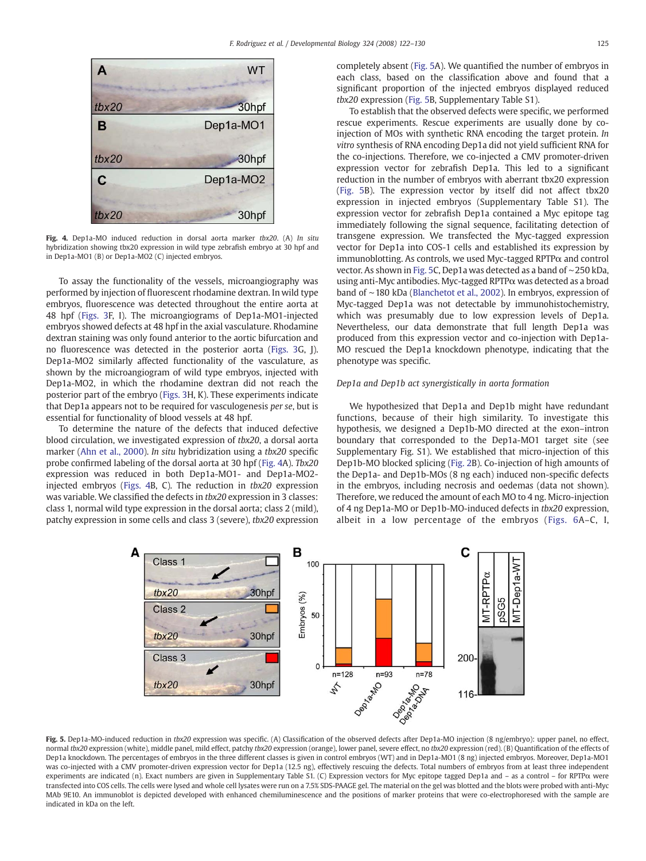<span id="page-3-0"></span>

Fig. 4. Dep1a-MO induced reduction in dorsal aorta marker tbx20. (A) In situ hybridization showing tbx20 expression in wild type zebrafish embryo at 30 hpf and in Dep1a-MO1 (B) or Dep1a-MO2 (C) injected embryos.

To assay the functionality of the vessels, microangiography was performed by injection of fluorescent rhodamine dextran. In wild type embryos, fluorescence was detected throughout the entire aorta at 48 hpf [\(Figs. 3F](#page-2-0), I). The microangiograms of Dep1a-MO1-injected embryos showed defects at 48 hpf in the axial vasculature. Rhodamine dextran staining was only found anterior to the aortic bifurcation and no fluorescence was detected in the posterior aorta [\(Figs. 3G](#page-2-0), J). Dep1a-MO2 similarly affected functionality of the vasculature, as shown by the microangiogram of wild type embryos, injected with Dep1a-MO2, in which the rhodamine dextran did not reach the posterior part of the embryo [\(Figs. 3H](#page-2-0), K). These experiments indicate that Dep1a appears not to be required for vasculogenesis per se, but is essential for functionality of blood vessels at 48 hpf.

To determine the nature of the defects that induced defective blood circulation, we investigated expression of tbx20, a dorsal aorta marker [\(Ahn et al., 2000](#page-7-0)). In situ hybridization using a tbx20 specific probe confirmed labeling of the dorsal aorta at 30 hpf (Fig. 4A). Tbx20 expression was reduced in both Dep1a-MO1- and Dep1a-MO2 injected embryos (Figs. 4B, C). The reduction in tbx20 expression was variable. We classified the defects in tbx20 expression in 3 classes: class 1, normal wild type expression in the dorsal aorta; class 2 (mild), patchy expression in some cells and class 3 (severe), tbx20 expression completely absent (Fig. 5A). We quantified the number of embryos in each class, based on the classification above and found that a significant proportion of the injected embryos displayed reduced tbx20 expression (Fig. 5B, Supplementary Table S1).

To establish that the observed defects were specific, we performed rescue experiments. Rescue experiments are usually done by coinjection of MOs with synthetic RNA encoding the target protein. In vitro synthesis of RNA encoding Dep1a did not yield sufficient RNA for the co-injections. Therefore, we co-injected a CMV promoter-driven expression vector for zebrafish Dep1a. This led to a significant reduction in the number of embryos with aberrant tbx20 expression (Fig. 5B). The expression vector by itself did not affect tbx20 expression in injected embryos (Supplementary Table S1). The expression vector for zebrafish Dep1a contained a Myc epitope tag immediately following the signal sequence, facilitating detection of transgene expression. We transfected the Myc-tagged expression vector for Dep1a into COS-1 cells and established its expression by immunoblotting. As controls, we used Myc-tagged  $RPTP\alpha$  and control vector. As shown in Fig. 5C, Dep1a was detected as a band of ∼250 kDa, using anti-Myc antibodies. Myc-tagged RPTPα was detected as a broad band of ∼180 kDa ([Blanchetot et al., 2002\)](#page-7-0). In embryos, expression of Myc-tagged Dep1a was not detectable by immunohistochemistry, which was presumably due to low expression levels of Dep1a. Nevertheless, our data demonstrate that full length Dep1a was produced from this expression vector and co-injection with Dep1a-MO rescued the Dep1a knockdown phenotype, indicating that the phenotype was specific.

## Dep1a and Dep1b act synergistically in aorta formation

We hypothesized that Dep1a and Dep1b might have redundant functions, because of their high similarity. To investigate this hypothesis, we designed a Dep1b-MO directed at the exon–intron boundary that corresponded to the Dep1a-MO1 target site (see Supplementary Fig. S1). We established that micro-injection of this Dep1b-MO blocked splicing ([Fig. 2](#page-2-0)B). Co-injection of high amounts of the Dep1a- and Dep1b-MOs (8 ng each) induced non-specific defects in the embryos, including necrosis and oedemas (data not shown). Therefore, we reduced the amount of each MO to 4 ng. Micro-injection of 4 ng Dep1a-MO or Dep1b-MO-induced defects in tbx20 expression, albeit in a low percentage of the embryos [\(Figs. 6A](#page-4-0)–C, I,



Fig. 5. Dep1a-MO-induced reduction in tbx20 expression was specific. (A) Classification of the observed defects after Dep1a-MO injection (8 ng/embryo): upper panel, no effect, normal tbx20 expression (white), middle panel, mild effect, patchy tbx20 expression (orange), lower panel, severe effect, no tbx20 expression (red). (B) Quantification of the effects of Dep1a knockdown. The percentages of embryos in the three different classes is given in control embryos (WT) and in Dep1a-MO1 (8 ng) injected embryos. Moreover, Dep1a-MO1 was co-injected with a CMV promoter-driven expression vector for Dep1a (12.5 ng), effectively rescuing the defects. Total numbers of embryos from at least three independent experiments are indicated (n). Exact numbers are given in Supplementary Table S1. (C) Expression vectors for Myc epitope tagged Dep1a and – as a control – for RPTPα were transfected into COS cells. The cells were lysed and whole cell lysates were run on a 7.5% SDS-PAAGE gel. The material on the gel was blotted and the blots were probed with anti-Myc MAb 9E10. An immunoblot is depicted developed with enhanced chemiluminescence and the positions of marker proteins that were co-electrophoresed with the sample are indicated in kDa on the left.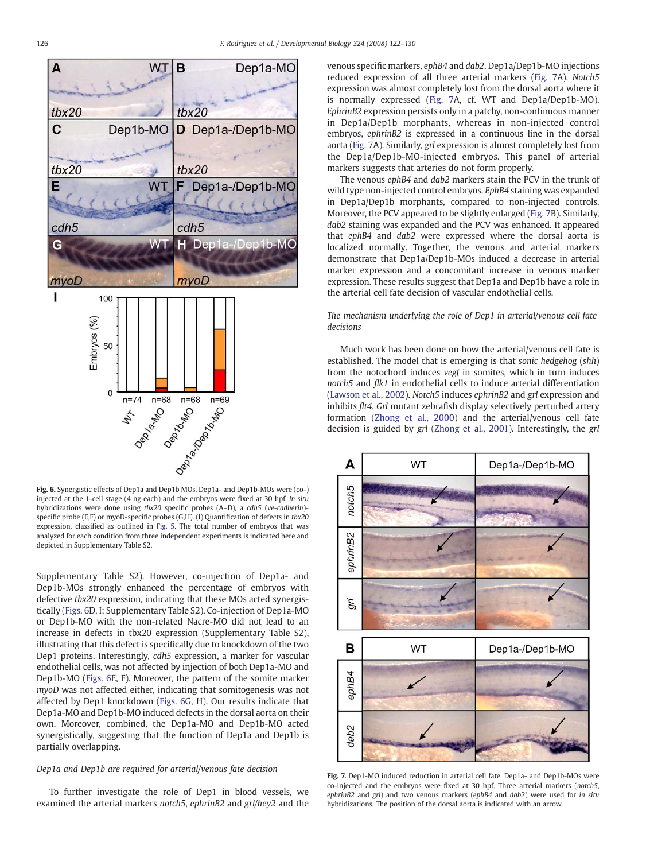<span id="page-4-0"></span>

Fig. 6. Synergistic effects of Dep1a and Dep1b MOs. Dep1a- and Dep1b-MOs were (co-) injected at the 1-cell stage (4 ng each) and the embryos were fixed at 30 hpf. In situ hybridizations were done using tbx20 specific probes (A–D), a cdh5 (ve-cadherin)specific probe (E,F) or myoD-specific probes (G,H). (I) Quantification of defects in tbx20 expression, classified as outlined in [Fig. 5](#page-3-0). The total number of embryos that was analyzed for each condition from three independent experiments is indicated here and depicted in Supplementary Table S2.

Supplementary Table S2). However, co-injection of Dep1a- and Dep1b-MOs strongly enhanced the percentage of embryos with defective tbx20 expression, indicating that these MOs acted synergistically (Figs. 6D, I; Supplementary Table S2). Co-injection of Dep1a-MO or Dep1b-MO with the non-related Nacre-MO did not lead to an increase in defects in tbx20 expression (Supplementary Table S2), illustrating that this defect is specifically due to knockdown of the two Dep1 proteins. Interestingly, cdh5 expression, a marker for vascular endothelial cells, was not affected by injection of both Dep1a-MO and Dep1b-MO (Figs. 6E, F). Moreover, the pattern of the somite marker myoD was not affected either, indicating that somitogenesis was not affected by Dep1 knockdown (Figs. 6G, H). Our results indicate that Dep1a-MO and Dep1b-MO induced defects in the dorsal aorta on their own. Moreover, combined, the Dep1a-MO and Dep1b-MO acted synergistically, suggesting that the function of Dep1a and Dep1b is partially overlapping.

## Dep1a and Dep1b are required for arterial/venous fate decision

To further investigate the role of Dep1 in blood vessels, we examined the arterial markers notch5, ephrinB2 and grl/hey2 and the venous specific markers, ephB4 and dab2. Dep1a/Dep1b-MO injections reduced expression of all three arterial markers (Fig. 7A). Notch5 expression was almost completely lost from the dorsal aorta where it is normally expressed (Fig. 7A, cf. WT and Dep1a/Dep1b-MO). EphrinB2 expression persists only in a patchy, non-continuous manner in Dep1a/Dep1b morphants, whereas in non-injected control embryos, ephrinB2 is expressed in a continuous line in the dorsal aorta (Fig. 7A). Similarly, grl expression is almost completely lost from the Dep1a/Dep1b-MO-injected embryos. This panel of arterial markers suggests that arteries do not form properly.

The venous ephB4 and dab2 markers stain the PCV in the trunk of wild type non-injected control embryos. EphB4 staining was expanded in Dep1a/Dep1b morphants, compared to non-injected controls. Moreover, the PCV appeared to be slightly enlarged (Fig. 7B). Similarly, dab2 staining was expanded and the PCV was enhanced. It appeared that ephB4 and dab2 were expressed where the dorsal aorta is localized normally. Together, the venous and arterial markers demonstrate that Dep1a/Dep1b-MOs induced a decrease in arterial marker expression and a concomitant increase in venous marker expression. These results suggest that Dep1a and Dep1b have a role in the arterial cell fate decision of vascular endothelial cells.

## The mechanism underlying the role of Dep1 in arterial/venous cell fate decisions

Much work has been done on how the arterial/venous cell fate is established. The model that is emerging is that sonic hedgehog (shh) from the notochord induces vegf in somites, which in turn induces notch5 and flk1 in endothelial cells to induce arterial differentiation ([Lawson et al., 2002\)](#page-7-0). Notch5 induces ephrinB2 and grl expression and inhibits flt4. Grl mutant zebrafish display selectively perturbed artery formation ([Zhong et al., 2000\)](#page-8-0) and the arterial/venous cell fate decision is guided by grl ([Zhong et al., 2001](#page-8-0)). Interestingly, the grl



Fig. 7. Dep1-MO induced reduction in arterial cell fate. Dep1a- and Dep1b-MOs were co-injected and the embryos were fixed at 30 hpf. Three arterial markers (notch5, ephrinB2 and grl) and two venous markers (ephB4 and dab2) were used for in situ hybridizations. The position of the dorsal aorta is indicated with an arrow.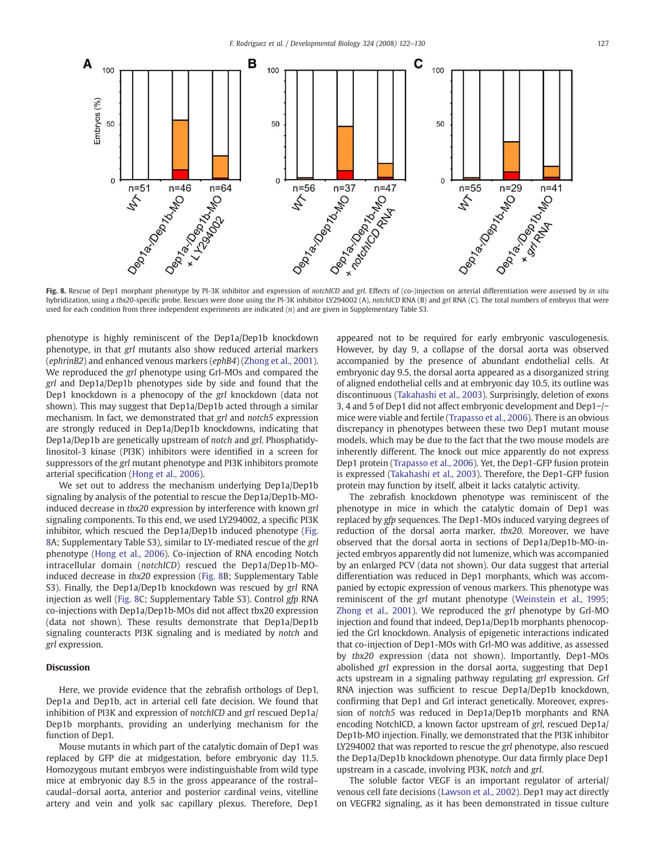

hybridization, using a tbx20-specific probe. Rescues were done using the PI-3K inhibitor LY294002 (A), notchICD RNA (B) and grl RNA (C). The total numbers of embryos that were used for each condition from three independent experiments are indicated (n) and are given in Supplementary Table S3.

phenotype is highly reminiscent of the Dep1a/Dep1b knockdown phenotype, in that grl mutants also show reduced arterial markers (ephrinB2) and enhanced venous markers (ephB4) [\(Zhong et al., 2001\)](#page-8-0). We reproduced the grl phenotype using Grl-MOs and compared the grl and Dep1a/Dep1b phenotypes side by side and found that the Dep1 knockdown is a phenocopy of the grl knockdown (data not shown). This may suggest that Dep1a/Dep1b acted through a similar mechanism. In fact, we demonstrated that grl and notch5 expression are strongly reduced in Dep1a/Dep1b knockdowns, indicating that Dep1a/Dep1b are genetically upstream of notch and grl. Phosphatidylinositol-3 kinase (PI3K) inhibitors were identified in a screen for suppressors of the grl mutant phenotype and PI3K inhibitors promote arterial specification ([Hong et al., 2006](#page-7-0)).

We set out to address the mechanism underlying Dep1a/Dep1b signaling by analysis of the potential to rescue the Dep1a/Dep1b-MOinduced decrease in tbx20 expression by interference with known grl signaling components. To this end, we used LY294002, a specific PI3K inhibitor, which rescued the Dep1a/Dep1b induced phenotype (Fig. 8A; Supplementary Table S3), similar to LY-mediated rescue of the grl phenotype [\(Hong et al., 2006\)](#page-7-0). Co-injection of RNA encoding Notch intracellular domain (notchICD) rescued the Dep1a/Dep1b-MOinduced decrease in tbx20 expression (Fig. 8B; Supplementary Table S3). Finally, the Dep1a/Dep1b knockdown was rescued by grl RNA injection as well (Fig. 8C; Supplementary Table S3). Control gfp RNA co-injections with Dep1a/Dep1b-MOs did not affect tbx20 expression (data not shown). These results demonstrate that Dep1a/Dep1b signaling counteracts PI3K signaling and is mediated by notch and grl expression.

### Discussion

Here, we provide evidence that the zebrafish orthologs of Dep1, Dep1a and Dep1b, act in arterial cell fate decision. We found that inhibition of PI3K and expression of notchICD and grl rescued Dep1a/ Dep1b morphants, providing an underlying mechanism for the function of Dep1.

Mouse mutants in which part of the catalytic domain of Dep1 was replaced by GFP die at midgestation, before embryonic day 11.5. Homozygous mutant embryos were indistinguishable from wild type mice at embryonic day 8.5 in the gross appearance of the rostral– caudal–dorsal aorta, anterior and posterior cardinal veins, vitelline artery and vein and yolk sac capillary plexus. Therefore, Dep1 appeared not to be required for early embryonic vasculogenesis. However, by day 9, a collapse of the dorsal aorta was observed accompanied by the presence of abundant endothelial cells. At embryonic day 9.5, the dorsal aorta appeared as a disorganized string of aligned endothelial cells and at embryonic day 10.5, its outline was discontinuous ([Takahashi et al., 2003\)](#page-7-0). Surprisingly, deletion of exons 3, 4 and 5 of Dep1 did not affect embryonic development and Dep1−/− mice were viable and fertile [\(Trapasso et al., 2006\)](#page-8-0). There is an obvious discrepancy in phenotypes between these two Dep1 mutant mouse models, which may be due to the fact that the two mouse models are inherently different. The knock out mice apparently do not express Dep1 protein ([Trapasso et al., 2006\)](#page-8-0). Yet, the Dep1-GFP fusion protein is expressed [\(Takahashi et al., 2003](#page-7-0)). Therefore, the Dep1-GFP fusion protein may function by itself, albeit it lacks catalytic activity.

The zebrafish knockdown phenotype was reminiscent of the phenotype in mice in which the catalytic domain of Dep1 was replaced by gfp sequences. The Dep1-MOs induced varying degrees of reduction of the dorsal aorta marker, tbx20. Moreover, we have observed that the dorsal aorta in sections of Dep1a/Dep1b-MO-injected embryos apparently did not lumenize, which was accompanied by an enlarged PCV (data not shown). Our data suggest that arterial differentiation was reduced in Dep1 morphants, which was accompanied by ectopic expression of venous markers. This phenotype was reminiscent of the grl mutant phenotype [\(Weinstein et al., 1995;](#page-8-0) [Zhong et al., 2001](#page-8-0)). We reproduced the grl phenotype by Grl-MO injection and found that indeed, Dep1a/Dep1b morphants phenocopied the Grl knockdown. Analysis of epigenetic interactions indicated that co-injection of Dep1-MOs with Grl-MO was additive, as assessed by tbx20 expression (data not shown). Importantly, Dep1-MOs abolished grl expression in the dorsal aorta, suggesting that Dep1 acts upstream in a signaling pathway regulating grl expression. Grl RNA injection was sufficient to rescue Dep1a/Dep1b knockdown, confirming that Dep1 and Grl interact genetically. Moreover, expression of notch5 was reduced in Dep1a/Dep1b morphants and RNA encoding NotchICD, a known factor upstream of grl, rescued Dep1a/ Dep1b-MO injection. Finally, we demonstrated that the PI3K inhibitor LY294002 that was reported to rescue the grl phenotype, also rescued the Dep1a/Dep1b knockdown phenotype. Our data firmly place Dep1 upstream in a cascade, involving PI3K, notch and grl.

The soluble factor VEGF is an important regulator of arterial/ venous cell fate decisions ([Lawson et al., 2002\)](#page-7-0). Dep1 may act directly on VEGFR2 signaling, as it has been demonstrated in tissue culture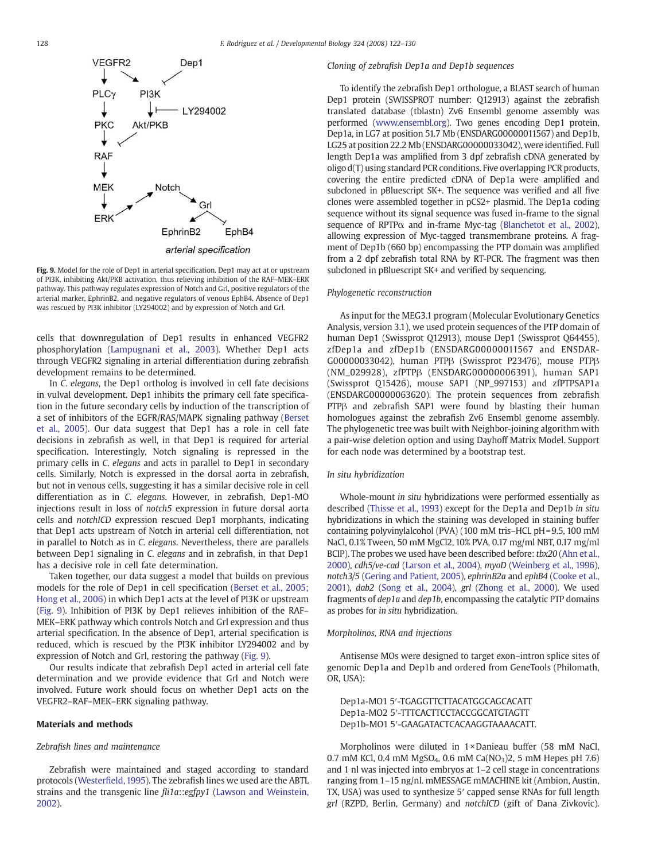

Fig. 9. Model for the role of Dep1 in arterial specification. Dep1 may act at or upstream of PI3K, inhibiting Akt/PKB activation, thus relieving inhibition of the RAF–MEK–ERK pathway. This pathway regulates expression of Notch and Grl, positive regulators of the arterial marker, EphrinB2, and negative regulators of venous EphB4. Absence of Dep1 was rescued by PI3K inhibitor (LY294002) and by expression of Notch and Grl.

cells that downregulation of Dep1 results in enhanced VEGFR2 phosphorylation [\(Lampugnani et al., 2003\)](#page-7-0). Whether Dep1 acts through VEGFR2 signaling in arterial differentiation during zebrafish development remains to be determined.

In C. elegans, the Dep1 ortholog is involved in cell fate decisions in vulval development. Dep1 inhibits the primary cell fate specification in the future secondary cells by induction of the transcription of a set of inhibitors of the EGFR/RAS/MAPK signaling pathway [\(Berset](#page-7-0) [et al., 2005](#page-7-0)). Our data suggest that Dep1 has a role in cell fate decisions in zebrafish as well, in that Dep1 is required for arterial specification. Interestingly, Notch signaling is repressed in the primary cells in C. elegans and acts in parallel to Dep1 in secondary cells. Similarly, Notch is expressed in the dorsal aorta in zebrafish, but not in venous cells, suggesting it has a similar decisive role in cell differentiation as in C. elegans. However, in zebrafish, Dep1-MO injections result in loss of notch5 expression in future dorsal aorta cells and notchICD expression rescued Dep1 morphants, indicating that Dep1 acts upstream of Notch in arterial cell differentiation, not in parallel to Notch as in C. elegans. Nevertheless, there are parallels between Dep1 signaling in C. elegans and in zebrafish, in that Dep1 has a decisive role in cell fate determination.

Taken together, our data suggest a model that builds on previous models for the role of Dep1 in cell specification ([Berset et al., 2005;](#page-7-0) [Hong et al., 2006\)](#page-7-0) in which Dep1 acts at the level of PI3K or upstream (Fig. 9). Inhibition of PI3K by Dep1 relieves inhibition of the RAF– MEK–ERK pathway which controls Notch and Grl expression and thus arterial specification. In the absence of Dep1, arterial specification is reduced, which is rescued by the PI3K inhibitor LY294002 and by expression of Notch and Grl, restoring the pathway (Fig. 9).

Our results indicate that zebrafish Dep1 acted in arterial cell fate determination and we provide evidence that Grl and Notch were involved. Future work should focus on whether Dep1 acts on the VEGFR2–RAF–MEK–ERK signaling pathway.

#### Materials and methods

#### Zebrafish lines and maintenance

Zebrafish were maintained and staged according to standard protocols (Westerfi[eld, 1995](#page-8-0)). The zebrafish lines we used are the ABTL strains and the transgenic line fli1a::egfpy1 [\(Lawson and Weinstein,](#page-7-0) [2002](#page-7-0)).

#### Cloning of zebrafish Dep1a and Dep1b sequences

To identify the zebrafish Dep1 orthologue, a BLAST search of human Dep1 protein (SWISSPROT number: Q12913) against the zebrafish translated database (tblastn) Zv6 Ensembl genome assembly was performed ([www.ensembl.org\)](http://www.ensembl.org). Two genes encoding Dep1 protein, Dep1a, in LG7 at position 51.7 Mb (ENSDARG00000011567) and Dep1b, LG25 at position 22.2 Mb (ENSDARG00000033042), were identified. Full length Dep1a was amplified from 3 dpf zebrafish cDNA generated by oligo d(T) using standard PCR conditions. Five overlapping PCR products, covering the entire predicted cDNA of Dep1a were amplified and subcloned in pBluescript SK+. The sequence was verified and all five clones were assembled together in pCS2+ plasmid. The Dep1a coding sequence without its signal sequence was fused in-frame to the signal sequence of RPTP $\alpha$  and in-frame Myc-tag [\(Blanchetot et al., 2002](#page-7-0)), allowing expression of Myc-tagged transmembrane proteins. A fragment of Dep1b (660 bp) encompassing the PTP domain was amplified from a 2 dpf zebrafish total RNA by RT-PCR. The fragment was then subcloned in pBluescript SK+ and verified by sequencing.

#### Phylogenetic reconstruction

As input for the MEG3.1 program (Molecular Evolutionary Genetics Analysis, version 3.1), we used protein sequences of the PTP domain of human Dep1 (Swissprot Q12913), mouse Dep1 (Swissprot Q64455), zfDep1a and zfDep1b (ENSDARG00000011567 and ENSDAR-G00000033042), human PTPβ (Swissprot P23476), mouse PTPβ (NM\_029928), zfPTPβ (ENSDARG00000006391), human SAP1 (Swissprot Q15426), mouse SAP1 (NP\_997153) and zfPTPSAP1a (ENSDARG00000063620). The protein sequences from zebrafish PTPβ and zebrafish SAP1 were found by blasting their human homologues against the zebrafish Zv6 Ensembl genome assembly. The phylogenetic tree was built with Neighbor-joining algorithm with a pair-wise deletion option and using Dayhoff Matrix Model. Support for each node was determined by a bootstrap test.

#### In situ hybridization

Whole-mount in situ hybridizations were performed essentially as described ([Thisse et al., 1993](#page-7-0)) except for the Dep1a and Dep1b in situ hybridizations in which the staining was developed in staining buffer containing polyvinylalcohol (PVA) (100 mM tris–HCL pH=9.5, 100 mM NaCl, 0.1% Tween, 50 mM MgCl2, 10% PVA, 0.17 mg/ml NBT, 0.17 mg/ml BCIP). The probes we used have been described before: tbx20 [\(Ahn et al.,](#page-7-0) [2000](#page-7-0)), cdh5/ve-cad ([Larson et al., 2004\)](#page-7-0), myoD [\(Weinberg et al., 1996](#page-8-0)), notch3/5 ([Gering and Patient, 2005\)](#page-7-0), ephrinB2a and ephB4 [\(Cooke et al.,](#page-7-0) [2001\)](#page-7-0), dab2 [\(Song et al., 2004\)](#page-7-0), grl [\(Zhong et al., 2000](#page-8-0)). We used fragments of dep1a and dep1b, encompassing the catalytic PTP domains as probes for in situ hybridization.

#### Morpholinos, RNA and injections

Antisense MOs were designed to target exon–intron splice sites of genomic Dep1a and Dep1b and ordered from GeneTools (Philomath, OR, USA):

Dep1a-MO1 5′-TGAGGTTCTTACATGGCAGCACATT Dep1a-MO2 5′-TTTCACTTCCTACCGGCATGTAGTT Dep1b-MO1 5′-GAAGATACTCACAAGGTAAAACATT.

Morpholinos were diluted in 1 × Danieau buffer (58 mM NaCl, 0.7 mM KCl, 0.4 mM MgSO<sub>4</sub>, 0.6 mM Ca(NO<sub>3</sub>)2, 5 mM Hepes pH 7.6) and 1 nl was injected into embryos at 1–2 cell stage in concentrations ranging from 1–15 ng/nl. mMESSAGE mMACHINE kit (Ambion, Austin, TX, USA) was used to synthesize 5′ capped sense RNAs for full length grl (RZPD, Berlin, Germany) and notchICD (gift of Dana Zivkovic).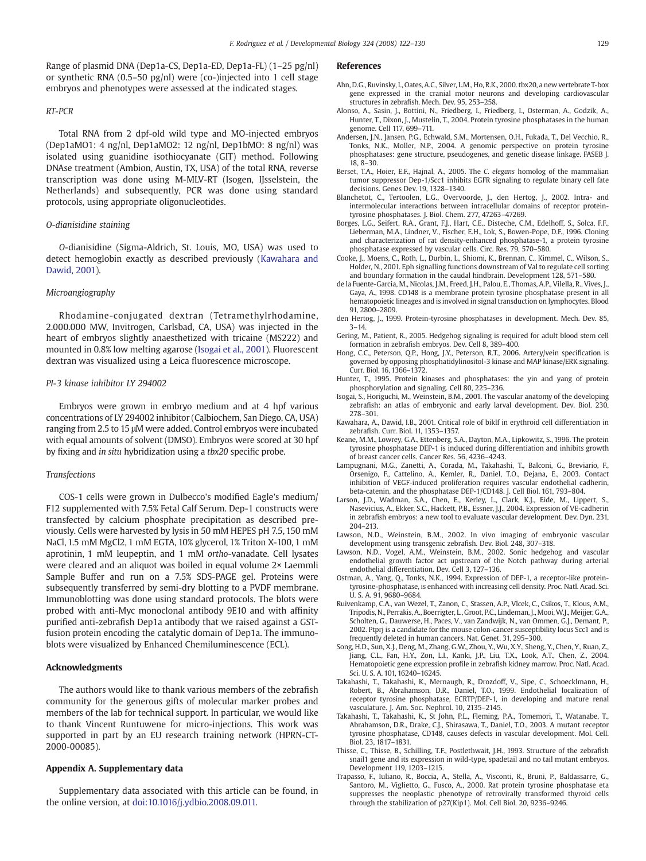<span id="page-7-0"></span>Range of plasmid DNA (Dep1a-CS, Dep1a-ED, Dep1a-FL) (1–25 pg/nl) or synthetic RNA (0.5–50 pg/nl) were (co-)injected into 1 cell stage embryos and phenotypes were assessed at the indicated stages.

#### RT-PCR

Total RNA from 2 dpf-old wild type and MO-injected embryos (Dep1aMO1: 4 ng/nl, Dep1aMO2: 12 ng/nl, Dep1bMO: 8 ng/nl) was isolated using guanidine isothiocyanate (GIT) method. Following DNAse treatment (Ambion, Austin, TX, USA) of the total RNA, reverse transcription was done using M-MLV-RT (Isogen, IJsselstein, the Netherlands) and subsequently, PCR was done using standard protocols, using appropriate oligonucleotides.

## O-dianisidine staining

O-dianisidine (Sigma-Aldrich, St. Louis, MO, USA) was used to detect hemoglobin exactly as described previously (Kawahara and Dawid, 2001).

#### Microangiography

Rhodamine-conjugated dextran (Tetramethylrhodamine, 2.000.000 MW, Invitrogen, Carlsbad, CA, USA) was injected in the heart of embryos slightly anaesthetized with tricaine (MS222) and mounted in 0.8% low melting agarose (Isogai et al., 2001). Fluorescent dextran was visualized using a Leica fluorescence microscope.

#### PI-3 kinase inhibitor LY 294002

Embryos were grown in embryo medium and at 4 hpf various concentrations of LY 294002 inhibitor (Calbiochem, San Diego, CA, USA) ranging from 2.5 to 15 μM were added. Control embryos were incubated with equal amounts of solvent (DMSO). Embryos were scored at 30 hpf by fixing and in situ hybridization using a tbx20 specific probe.

#### Transfections

COS-1 cells were grown in Dulbecco's modified Eagle's medium/ F12 supplemented with 7.5% Fetal Calf Serum. Dep-1 constructs were transfected by calcium phosphate precipitation as described previously. Cells were harvested by lysis in 50 mM HEPES pH 7.5, 150 mM NaCl, 1.5 mM MgCl2, 1 mM EGTA, 10% glycerol, 1% Triton X-100, 1 mM aprotinin, 1 mM leupeptin, and 1 mM ortho-vanadate. Cell lysates were cleared and an aliquot was boiled in equal volume 2× Laemmli Sample Buffer and run on a 7.5% SDS-PAGE gel. Proteins were subsequently transferred by semi-dry blotting to a PVDF membrane. Immunoblotting was done using standard protocols. The blots were probed with anti-Myc monoclonal antibody 9E10 and with affinity purified anti-zebrafish Dep1a antibody that we raised against a GSTfusion protein encoding the catalytic domain of Dep1a. The immunoblots were visualized by Enhanced Chemiluminescence (ECL).

#### Acknowledgments

The authors would like to thank various members of the zebrafish community for the generous gifts of molecular marker probes and members of the lab for technical support. In particular, we would like to thank Vincent Runtuwene for micro-injections. This work was supported in part by an EU research training network (HPRN-CT-2000-00085).

#### Appendix A. Supplementary data

Supplementary data associated with this article can be found, in the online version, at [doi:10.1016/j.ydbio.2008.09.011.](http://dx.doi.org/doi:10.1016/j.ydbio.2008.09.011)

#### References

- Ahn, D.G., Ruvinsky, I., Oates, A.C., Silver, L.M., Ho, R.K., 2000. tbx20, a new vertebrate T-box gene expressed in the cranial motor neurons and developing cardiovascular structures in zebrafish. Mech. Dev. 95, 253–258.
- Alonso, A., Sasin, J., Bottini, N., Friedberg, I., Friedberg, I., Osterman, A., Godzik, A., Hunter, T., Dixon, J., Mustelin, T., 2004. Protein tyrosine phosphatases in the human genome. Cell 117, 699–711.
- Andersen, J.N., Jansen, P.G., Echwald, S.M., Mortensen, O.H., Fukada, T., Del Vecchio, R., Tonks, N.K., Moller, N.P., 2004. A genomic perspective on protein tyrosine phosphatases: gene structure, pseudogenes, and genetic disease linkage. FASEB J. 18, 8–30.
- Berset, T.A., Hoier, E.F., Hajnal, A., 2005. The C. elegans homolog of the mammalian tumor suppressor Dep-1/Scc1 inhibits EGFR signaling to regulate binary cell fate decisions. Genes Dev. 19, 1328–1340.
- Blanchetot, C., Tertoolen, L.G., Overvoorde, J., den Hertog, J., 2002. Intra- and intermolecular interactions between intracellular domains of receptor proteintyrosine phosphatases. J. Biol. Chem. 277, 47263–47269.
- Borges, L.G., Seifert, R.A., Grant, F.J., Hart, C.E., Disteche, C.M., Edelhoff, S., Solca, F.F., Lieberman, M.A., Lindner, V., Fischer, E.H., Lok, S., Bowen-Pope, D.F., 1996. Cloning and characterization of rat density-enhanced phosphatase-1, a protein tyrosine phosphatase expressed by vascular cells. Circ. Res. 79, 570–580.
- Cooke, J., Moens, C., Roth, L., Durbin, L., Shiomi, K., Brennan, C., Kimmel, C., Wilson, S., Holder, N., 2001. Eph signalling functions downstream of Val to regulate cell sorting and boundary formation in the caudal hindbrain. Development 128, 571–580.
- de la Fuente-Garcia, M., Nicolas, J.M., Freed, J.H., Palou, E., Thomas, A.P., Vilella, R., Vives, J., Gaya, A., 1998. CD148 is a membrane protein tyrosine phosphatase present in all hematopoietic lineages and is involved in signal transduction on lymphocytes. Blood 91, 2800–2809.
- den Hertog, J., 1999. Protein-tyrosine phosphatases in development. Mech. Dev. 85, 3–14.
- Gering, M., Patient, R., 2005. Hedgehog signaling is required for adult blood stem cell formation in zebrafish embryos. Dev. Cell 8, 389–400.
- Hong, C.C., Peterson, Q.P., Hong, J.Y., Peterson, R.T., 2006. Artery/vein specification is governed by opposing phosphatidylinositol-3 kinase and MAP kinase/ERK signaling. Curr. Biol. 16, 1366–1372.
- Hunter, T., 1995. Protein kinases and phosphatases: the yin and yang of protein phosphorylation and signaling. Cell 80, 225–236.
- Isogai, S., Horiguchi, M., Weinstein, B.M., 2001. The vascular anatomy of the developing zebrafish: an atlas of embryonic and early larval development. Dev. Biol. 230, 278–301.
- Kawahara, A., Dawid, I.B., 2001. Critical role of biklf in erythroid cell differentiation in zebrafish. Curr. Biol. 11, 1353–1357.
- Keane, M.M., Lowrey, G.A., Ettenberg, S.A., Dayton, M.A., Lipkowitz, S., 1996. The protein tyrosine phosphatase DEP-1 is induced during differentiation and inhibits growth of breast cancer cells. Cancer Res. 56, 4236–4243.
- Lampugnani, M.G., Zanetti, A., Corada, M., Takahashi, T., Balconi, G., Breviario, F., Orsenigo, F., Cattelino, A., Kemler, R., Daniel, T.O., Dejana, E., 2003. Contact inhibition of VEGF-induced proliferation requires vascular endothelial cadherin, beta-catenin, and the phosphatase DEP-1/CD148. J. Cell Biol. 161, 793–804.
- Larson, J.D., Wadman, S.A., Chen, E., Kerley, L., Clark, K.J., Eide, M., Lippert, S., Nasevicius, A., Ekker, S.C., Hackett, P.B., Essner, J.J., 2004. Expression of VE-cadherin in zebrafish embryos: a new tool to evaluate vascular development. Dev. Dyn. 231, 204–213.
- Lawson, N.D., Weinstein, B.M., 2002. In vivo imaging of embryonic vascular development using transgenic zebrafish. Dev. Biol. 248, 307–318.
- Lawson, N.D., Vogel, A.M., Weinstein, B.M., 2002. Sonic hedgehog and vascular endothelial growth factor act upstream of the Notch pathway during arterial endothelial differentiation. Dev. Cell 3, 127–136.
- Ostman, A., Yang, Q., Tonks, N.K., 1994. Expression of DEP-1, a receptor-like proteintyrosine-phosphatase, is enhanced with increasing cell density. Proc. Natl. Acad. Sci. U. S. A. 91, 9680–9684.
- Ruivenkamp, C.A., van Wezel, T., Zanon, C., Stassen, A.P., Vlcek, C., Csikos, T., Klous, A.M., Tripodis, N., Perrakis, A., Boerrigter, L., Groot, P.C., Lindeman, J.,Mooi,W.J., Meijjer, G.A., Scholten, G., Dauwerse, H., Paces, V., van Zandwijk, N., van Ommen, G.J., Demant, P., 2002. Ptprj is a candidate for the mouse colon-cancer susceptibility locus Scc1 and is frequently deleted in human cancers. Nat. Genet. 31, 295–300.
- Song, H.D., Sun, X.J., Deng, M., Zhang, G.W., Zhou, Y., Wu, X.Y., Sheng, Y., Chen, Y., Ruan, Z., Jiang, C.L., Fan, H.Y., Zon, L.I., Kanki, J.P., Liu, T.X., Look, A.T., Chen, Z., 2004. Hematopoietic gene expression profile in zebrafish kidney marrow. Proc. Natl. Acad. Sci. U. S. A. 101, 16240–16245.
- Takahashi, T., Takahashi, K., Mernaugh, R., Drozdoff, V., Sipe, C., Schoecklmann, H., Robert, B., Abrahamson, D.R., Daniel, T.O., 1999. Endothelial localization of receptor tyrosine phosphatase, ECRTP/DEP-1, in developing and mature renal vasculature. J. Am. Soc. Nephrol. 10, 2135–2145.
- Takahashi, T., Takahashi, K., St John, P.L., Fleming, P.A., Tomemori, T., Watanabe, T., Abrahamson, D.R., Drake, C.J., Shirasawa, T., Daniel, T.O., 2003. A mutant receptor tyrosine phosphatase, CD148, causes defects in vascular development. Mol. Cell. Biol. 23, 1817–1831.
- Thisse, C., Thisse, B., Schilling, T.F., Postlethwait, J.H., 1993. Structure of the zebrafish snail1 gene and its expression in wild-type, spadetail and no tail mutant embryos. Development 119, 1203–1215.
- Trapasso, F., Iuliano, R., Boccia, A., Stella, A., Visconti, R., Bruni, P., Baldassarre, G., Santoro, M., Viglietto, G., Fusco, A., 2000. Rat protein tyrosine phosphatase eta suppresses the neoplastic phenotype of retrovirally transformed thyroid cells through the stabilization of p27(Kip1). Mol. Cell Biol. 20, 9236–9246.